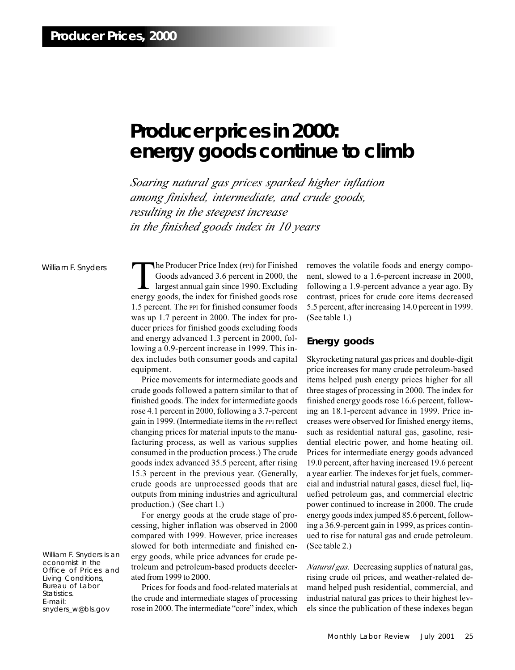# **Producer prices in 2000: energy goods continue to climb**

*Soaring natural gas prices sparked higher inflation among finished, intermediate, and crude goods, resulting in the steepest increase in the finished goods index in 10 years*

#### William F. Snyders

The Producer Price Index (PPI) for Finished<br>Goods advanced 3.6 percent in 2000, the<br>largest annual gain since 1990. Excluding<br>energy goods the index for finished goods rose Goods advanced 3.6 percent in 2000, the largest annual gain since 1990. Excluding energy goods, the index for finished goods rose 1.5 percent. The PPI for finished consumer foods was up 1.7 percent in 2000. The index for producer prices for finished goods excluding foods and energy advanced 1.3 percent in 2000, following a 0.9-percent increase in 1999. This index includes both consumer goods and capital equipment.

Price movements for intermediate goods and crude goods followed a pattern similar to that of finished goods. The index for intermediate goods rose 4.1 percent in 2000, following a 3.7-percent gain in 1999. (Intermediate items in the PPI reflect changing prices for material inputs to the manufacturing process, as well as various supplies consumed in the production process.) The crude goods index advanced 35.5 percent, after rising 15.3 percent in the previous year. (Generally, crude goods are unprocessed goods that are outputs from mining industries and agricultural production.) (See chart 1.)

For energy goods at the crude stage of processing, higher inflation was observed in 2000 compared with 1999. However, price increases slowed for both intermediate and finished energy goods, while price advances for crude petroleum and petroleum-based products decelerated from 1999 to 2000.

Prices for foods and food-related materials at the crude and intermediate stages of processing rose in 2000. The intermediate "core" index, which removes the volatile foods and energy component, slowed to a 1.6-percent increase in 2000, following a 1.9-percent advance a year ago. By contrast, prices for crude core items decreased 5.5 percent, after increasing 14.0 percent in 1999. (See table 1.)

#### **Energy goods**

Skyrocketing natural gas prices and double-digit price increases for many crude petroleum-based items helped push energy prices higher for all three stages of processing in 2000. The index for finished energy goods rose 16.6 percent, following an 18.1-percent advance in 1999. Price increases were observed for finished energy items, such as residential natural gas, gasoline, residential electric power, and home heating oil. Prices for intermediate energy goods advanced 19.0 percent, after having increased 19.6 percent a year earlier. The indexes for jet fuels, commercial and industrial natural gases, diesel fuel, liquefied petroleum gas, and commercial electric power continued to increase in 2000. The crude energy goods index jumped 85.6 percent, following a 36.9-percent gain in 1999, as prices continued to rise for natural gas and crude petroleum. (See table 2.)

*Natural gas.* Decreasing supplies of natural gas, rising crude oil prices, and weather-related demand helped push residential, commercial, and industrial natural gas prices to their highest levels since the publication of these indexes began

William F. Snyders is an economist in the Office of Prices and Living Conditions, Bureau of Labor Statistics. E-mail: snyders\_w@bls.gov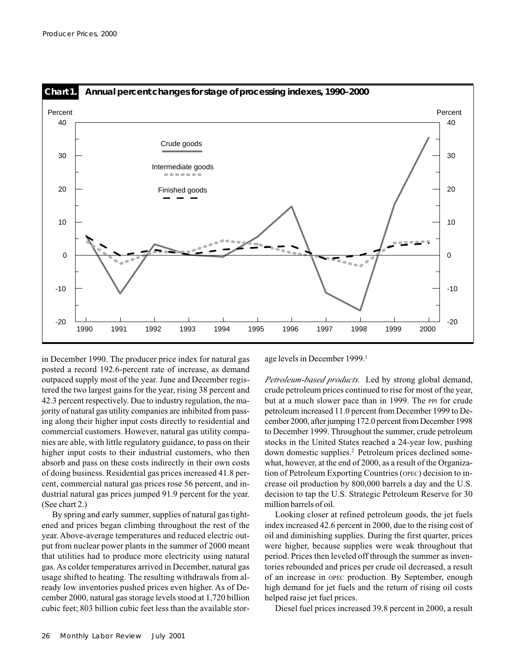

in December 1990. The producer price index for natural gas posted a record 192.6-percent rate of increase, as demand outpaced supply most of the year. June and December registered the two largest gains for the year, rising 38 percent and 42.3 percent respectively. Due to industry regulation, the majority of natural gas utility companies are inhibited from passing along their higher input costs directly to residential and commercial customers. However, natural gas utility companies are able, with little regulatory guidance, to pass on their higher input costs to their industrial customers, who then absorb and pass on these costs indirectly in their own costs of doing business. Residential gas prices increased 41.8 percent, commercial natural gas prices rose 56 percent, and industrial natural gas prices jumped 91.9 percent for the year. (See chart 2.)

By spring and early summer, supplies of natural gas tightened and prices began climbing throughout the rest of the year. Above-average temperatures and reduced electric output from nuclear power plants in the summer of 2000 meant that utilities had to produce more electricity using natural gas. As colder temperatures arrived in December, natural gas usage shifted to heating. The resulting withdrawals from already low inventories pushed prices even higher. As of December 2000, natural gas storage levels stood at 1,720 billion cubic feet; 803 billion cubic feet less than the available storage levels in December 1999.<sup>1</sup>

*Petroleum-based products.* Led by strong global demand, crude petroleum prices continued to rise for most of the year, but at a much slower pace than in 1999. The PPI for crude petroleum increased 11.0 percent from December 1999 to December 2000, after jumping 172.0 percent from December 1998 to December 1999. Throughout the summer, crude petroleum stocks in the United States reached a 24-year low, pushing down domestic supplies.2 Petroleum prices declined somewhat, however, at the end of 2000, as a result of the Organization of Petroleum Exporting Countries (OPEC) decision to increase oil production by 800,000 barrels a day and the U.S. decision to tap the U.S. Strategic Petroleum Reserve for 30 million barrels of oil.

Looking closer at refined petroleum goods, the jet fuels index increased 42.6 percent in 2000, due to the rising cost of oil and diminishing supplies. During the first quarter, prices were higher, because supplies were weak throughout that period. Prices then leveled off through the summer as inventories rebounded and prices per crude oil decreased, a result of an increase in OPEC production. By September, enough high demand for jet fuels and the return of rising oil costs helped raise jet fuel prices.

Diesel fuel prices increased 39.8 percent in 2000, a result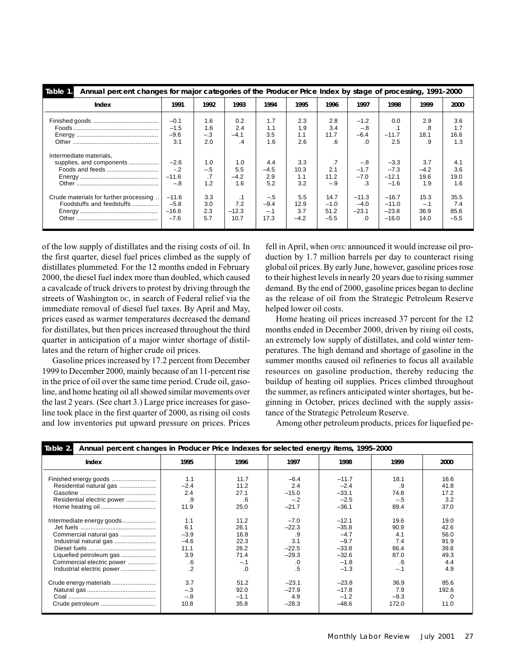| Table 1.                                                            | Annual percent changes for major categories of the Producer Price Index by stage of processing, 1991–2000 |                            |                                     |                                  |                              |                                  |                                          |                                          |                              |                               |
|---------------------------------------------------------------------|-----------------------------------------------------------------------------------------------------------|----------------------------|-------------------------------------|----------------------------------|------------------------------|----------------------------------|------------------------------------------|------------------------------------------|------------------------------|-------------------------------|
| Index                                                               | 1991                                                                                                      | 1992                       | 1993                                | 1994                             | 1995                         | 1996                             | 1997                                     | 1998                                     | 1999                         | 2000                          |
|                                                                     | $-0.1$<br>$-1.5$<br>$-9.6$<br>3.1                                                                         | 1.6<br>1.6<br>$-.3$<br>2.0 | 0.2<br>2.4<br>$-4.1$<br>.4          | 1.7<br>1.1<br>3.5<br>1.6         | 2.3<br>1.9<br>1.1<br>2.6     | 2.8<br>3.4<br>11.7<br>.6         | $-1.2$<br>$-.8$<br>$-6.4$<br>.0          | 0.0<br>. 1<br>$-11.7$<br>2.5             | 2.9<br>.8<br>18.1<br>.9      | 3.6<br>1.7<br>16.6<br>1.3     |
| Intermediate materials,<br>supplies, and components                 | $-2.6$<br>$-2$<br>$-11.6$<br>$-.8$                                                                        | 1.0<br>$-.5$<br>1.2        | 1.0<br>5.5<br>$-4.2$<br>1.6         | 4.4<br>$-4.5$<br>2.9<br>5.2      | 3.3<br>10.3<br>1.1<br>3.2    | 2.1<br>11.2<br>$-.9$             | $-.8$<br>$-1.7$<br>$-7.0$<br>.3          | $-3.3$<br>$-7.3$<br>$-12.1$<br>$-1.6$    | 3.7<br>$-4.2$<br>19.6<br>1.9 | 4.1<br>3.6<br>19.0<br>1.6     |
| Crude materials for further processing<br>Foodstuffs and feedstuffs | $-11.6$<br>$-5.8$<br>$-16.6$<br>$-7.6$                                                                    | 3.3<br>3.0<br>2.3<br>5.7   | $\cdot$ 1<br>7.2<br>$-12.3$<br>10.7 | $-.5$<br>$-9.4$<br>$-.1$<br>17.3 | 5.5<br>12.9<br>3.7<br>$-4.2$ | 14.7<br>$-1.0$<br>51.2<br>$-5.5$ | $-11.3$<br>$-4.0$<br>$-23.1$<br>$\Omega$ | $-16.7$<br>$-11.0$<br>$-23.8$<br>$-16.0$ | 15.3<br>- 1<br>36.9<br>14.0  | 35.5<br>7.4<br>85.6<br>$-5.5$ |

of the low supply of distillates and the rising costs of oil. In the first quarter, diesel fuel prices climbed as the supply of distillates plummeted. For the 12 months ended in February 2000, the diesel fuel index more than doubled, which caused a cavalcade of truck drivers to protest by driving through the streets of Washington DC, in search of Federal relief via the immediate removal of diesel fuel taxes. By April and May, prices eased as warmer temperatures decreased the demand for distillates, but then prices increased throughout the third quarter in anticipation of a major winter shortage of distillates and the return of higher crude oil prices.

Gasoline prices increased by 17.2 percent from December 1999 to December 2000, mainly because of an 11-percent rise in the price of oil over the same time period. Crude oil, gasoline, and home heating oil all showed similar movements over the last 2 years. (See chart 3.) Large price increases for gasoline took place in the first quarter of 2000, as rising oil costs and low inventories put upward pressure on prices. Prices fell in April, when OPEC announced it would increase oil production by 1.7 million barrels per day to counteract rising global oil prices. By early June, however, gasoline prices rose to their highest levels in nearly 20 years due to rising summer demand. By the end of 2000, gasoline prices began to decline as the release of oil from the Strategic Petroleum Reserve helped lower oil costs.

Home heating oil prices increased 37 percent for the 12 months ended in December 2000, driven by rising oil costs, an extremely low supply of distillates, and cold winter temperatures. The high demand and shortage of gasoline in the summer months caused oil refineries to focus all available resources on gasoline production, thereby reducing the buildup of heating oil supplies. Prices climbed throughout the summer, as refiners anticipated winter shortages, but beginning in October, prices declined with the supply assistance of the Strategic Petroleum Reserve.

Among other petroleum products, prices for liquefied pe-

| Table 2.<br>Annual percent changes in Producer Price Indexes for selected energy items, 1995-2000 |                |        |         |         |        |       |  |  |  |
|---------------------------------------------------------------------------------------------------|----------------|--------|---------|---------|--------|-------|--|--|--|
| Index                                                                                             | 1995           | 1996   | 1997    | 1998    | 1999   | 2000  |  |  |  |
|                                                                                                   | 1.1            | 11.7   | $-6.4$  | $-11.7$ | 18.1   | 16.6  |  |  |  |
| Residential natural gas                                                                           | $-2.4$         | 11.2   | 2.4     | $-2.4$  | .9     | 41.8  |  |  |  |
|                                                                                                   | 2.4            | 27.1   | $-15.0$ | $-33.1$ | 74.8   | 17.2  |  |  |  |
| Residential electric power                                                                        | .9             | .6     | $-.2$   | $-2.5$  | $-.5$  | 3.2   |  |  |  |
|                                                                                                   | 11.9           | 25.0   | $-21.7$ | $-36.1$ | 89.4   | 37.0  |  |  |  |
| Intermediate energy goods                                                                         | 1.1            | 11.2   | $-7.0$  | $-12.1$ | 19.6   | 19.0  |  |  |  |
|                                                                                                   | 6.1            | 26.1   | $-22.3$ | $-35.8$ | 90.9   | 42.6  |  |  |  |
| Commercial natural gas                                                                            | $-3.9$         | 16.8   | .9      | $-4.7$  | 4.1    | 56.0  |  |  |  |
| Industrial natural gas                                                                            | $-4.6$         | 22.3   | 3.1     | $-9.7$  | 7.4    | 91.9  |  |  |  |
|                                                                                                   | 11.1           | 26.2   | $-22.5$ | $-33.8$ | 86.4   | 39.8  |  |  |  |
| Liquefied petroleum gas                                                                           | 3.9            | 71.4   | $-29.3$ | $-32.6$ | 87.0   | 49.3  |  |  |  |
| Commercial electric power                                                                         | .6             | $-.1$  | .0      | $-1.8$  | .6     | 4.4   |  |  |  |
| Industrial electric power                                                                         | $\overline{2}$ | .0     | .5      | $-1.3$  | $-.1$  | 4.9   |  |  |  |
| Crude energy materials                                                                            | 3.7            | 51.2   | $-23.1$ | $-23.8$ | 36.9   | 85.6  |  |  |  |
|                                                                                                   | $-.3$          | 92.0   | $-27.9$ | $-17.8$ | 7.9    | 192.6 |  |  |  |
|                                                                                                   | $-.8$          | $-1.1$ | 4.9     | $-1.2$  | $-9.3$ | .0    |  |  |  |
|                                                                                                   | 10.8           | 35.8   | $-28.3$ | $-48.6$ | 172.0  | 11.0  |  |  |  |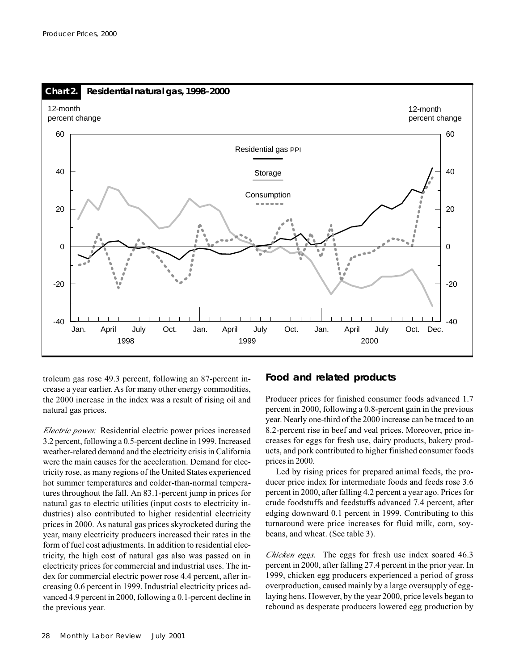

troleum gas rose 49.3 percent, following an 87-percent increase a year earlier. As for many other energy commodities, the 2000 increase in the index was a result of rising oil and natural gas prices.

*Electric power.* Residential electric power prices increased 3.2 percent, following a 0.5-percent decline in 1999. Increased weather-related demand and the electricity crisis in California were the main causes for the acceleration. Demand for electricity rose, as many regions of the United States experienced hot summer temperatures and colder-than-normal temperatures throughout the fall. An 83.1-percent jump in prices for natural gas to electric utilities (input costs to electricity industries) also contributed to higher residential electricity prices in 2000. As natural gas prices skyrocketed during the year, many electricity producers increased their rates in the form of fuel cost adjustments. In addition to residential electricity, the high cost of natural gas also was passed on in electricity prices for commercial and industrial uses. The index for commercial electric power rose 4.4 percent, after increasing 0.6 percent in 1999. Industrial electricity prices advanced 4.9 percent in 2000, following a 0.1-percent decline in the previous year.

# **Food and related products**

Producer prices for finished consumer foods advanced 1.7 percent in 2000, following a 0.8-percent gain in the previous year. Nearly one-third of the 2000 increase can be traced to an 8.2-percent rise in beef and veal prices. Moreover, price increases for eggs for fresh use, dairy products, bakery products, and pork contributed to higher finished consumer foods prices in 2000.

Led by rising prices for prepared animal feeds, the producer price index for intermediate foods and feeds rose 3.6 percent in 2000, after falling 4.2 percent a year ago. Prices for crude foodstuffs and feedstuffs advanced 7.4 percent, after edging downward 0.1 percent in 1999. Contributing to this turnaround were price increases for fluid milk, corn, soybeans, and wheat. (See table 3).

*Chicken eggs.* The eggs for fresh use index soared 46.3 percent in 2000, after falling 27.4 percent in the prior year. In 1999, chicken egg producers experienced a period of gross overproduction, caused mainly by a large oversupply of egglaying hens. However, by the year 2000, price levels began to rebound as desperate producers lowered egg production by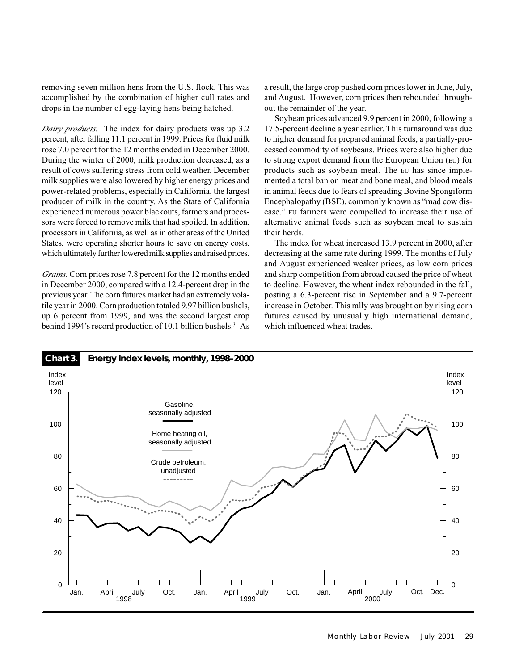removing seven million hens from the U.S. flock. This was accomplished by the combination of higher cull rates and drops in the number of egg-laying hens being hatched.

*Dairy products.* The index for dairy products was up 3.2 percent, after falling 11.1 percent in 1999. Prices for fluid milk rose 7.0 percent for the 12 months ended in December 2000. During the winter of 2000, milk production decreased, as a result of cows suffering stress from cold weather. December milk supplies were also lowered by higher energy prices and power-related problems, especially in California, the largest producer of milk in the country. As the State of California experienced numerous power blackouts, farmers and processors were forced to remove milk that had spoiled. In addition, processors in California, as well as in other areas of the United States, were operating shorter hours to save on energy costs, which ultimately further lowered milk supplies and raised prices.

*Grains.* Corn prices rose 7.8 percent for the 12 months ended in December 2000, compared with a 12.4-percent drop in the previous year. The corn futures market had an extremely volatile year in 2000. Corn production totaled 9.97 billion bushels, up 6 percent from 1999, and was the second largest crop behind 1994's record production of 10.1 billion bushels.<sup>3</sup> As a result, the large crop pushed corn prices lower in June, July, and August. However, corn prices then rebounded throughout the remainder of the year.

Soybean prices advanced 9.9 percent in 2000, following a 17.5-percent decline a year earlier. This turnaround was due to higher demand for prepared animal feeds, a partially-processed commodity of soybeans. Prices were also higher due to strong export demand from the European Union (EU) for products such as soybean meal. The EU has since implemented a total ban on meat and bone meal, and blood meals in animal feeds due to fears of spreading Bovine Spongiform Encephalopathy (BSE), commonly known as "mad cow disease." EU farmers were compelled to increase their use of alternative animal feeds such as soybean meal to sustain their herds.

The index for wheat increased 13.9 percent in 2000, after decreasing at the same rate during 1999. The months of July and August experienced weaker prices, as low corn prices and sharp competition from abroad caused the price of wheat to decline. However, the wheat index rebounded in the fall, posting a 6.3-percent rise in September and a 9.7-percent increase in October. This rally was brought on by rising corn futures caused by unusually high international demand, which influenced wheat trades.

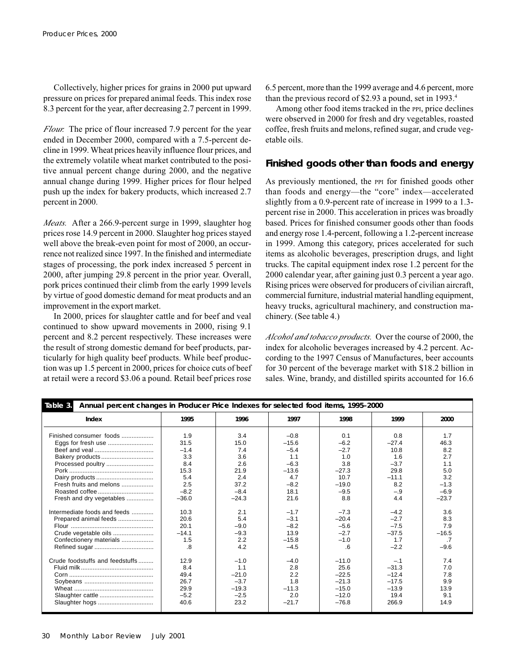Collectively, higher prices for grains in 2000 put upward pressure on prices for prepared animal feeds. This index rose 8.3 percent for the year, after decreasing 2.7 percent in 1999.

*Flour.* The price of flour increased 7.9 percent for the year ended in December 2000, compared with a 7.5-percent decline in 1999. Wheat prices heavily influence flour prices, and the extremely volatile wheat market contributed to the positive annual percent change during 2000, and the negative annual change during 1999. Higher prices for flour helped push up the index for bakery products, which increased 2.7 percent in 2000.

*Meats.* After a 266.9-percent surge in 1999, slaughter hog prices rose 14.9 percent in 2000. Slaughter hog prices stayed well above the break-even point for most of 2000, an occurrence not realized since 1997. In the finished and intermediate stages of processing, the pork index increased 5 percent in 2000, after jumping 29.8 percent in the prior year. Overall, pork prices continued their climb from the early 1999 levels by virtue of good domestic demand for meat products and an improvement in the export market.

In 2000, prices for slaughter cattle and for beef and veal continued to show upward movements in 2000, rising 9.1 percent and 8.2 percent respectively. These increases were the result of strong domestic demand for beef products, particularly for high quality beef products. While beef production was up 1.5 percent in 2000, prices for choice cuts of beef at retail were a record \$3.06 a pound. Retail beef prices rose 6.5 percent, more than the 1999 average and 4.6 percent, more than the previous record of \$2.93 a pound, set in 1993.4

Among other food items tracked in the PPI, price declines were observed in 2000 for fresh and dry vegetables, roasted coffee, fresh fruits and melons, refined sugar, and crude vegetable oils.

## **Finished goods other than foods and energy**

As previously mentioned, the PPI for finished goods other than foods and energy—the "core" index—accelerated slightly from a 0.9-percent rate of increase in 1999 to a 1.3 percent rise in 2000. This acceleration in prices was broadly based. Prices for finished consumer goods other than foods and energy rose 1.4-percent, following a 1.2-percent increase in 1999. Among this category, prices accelerated for such items as alcoholic beverages, prescription drugs, and light trucks. The capital equipment index rose 1.2 percent for the 2000 calendar year, after gaining just 0.3 percent a year ago. Rising prices were observed for producers of civilian aircraft, commercial furniture, industrial material handling equipment, heavy trucks, agricultural machinery, and construction machinery. (See table 4.)

*Alcohol and tobacco products.* Over the course of 2000, the index for alcoholic beverages increased by 4.2 percent. According to the 1997 Census of Manufactures, beer accounts for 30 percent of the beverage market with \$18.2 billion in sales. Wine, brandy, and distilled spirits accounted for 16.6

| Annual percent changes in Producer Price Indexes for selected food items, 1995-2000<br>Table 3. |         |         |         |         |         |                 |  |  |
|-------------------------------------------------------------------------------------------------|---------|---------|---------|---------|---------|-----------------|--|--|
| Index                                                                                           | 1995    | 1996    | 1997    | 1998    | 1999    | 2000            |  |  |
| Finished consumer foods                                                                         | 1.9     | 3.4     | $-0.8$  | 0.1     | 0.8     | 1.7             |  |  |
| Eggs for fresh use                                                                              | 31.5    | 15.0    | $-15.6$ | $-6.2$  | $-27.4$ | 46.3            |  |  |
|                                                                                                 | $-1.4$  | 7.4     | $-5.4$  | $-2.7$  | 10.8    | 8.2             |  |  |
|                                                                                                 | 3.3     | 3.6     | 1.1     | 1.0     | 1.6     | 2.7             |  |  |
| Processed poultry                                                                               | 8.4     | 2.6     | $-6.3$  | 3.8     | $-3.7$  | 1.1             |  |  |
|                                                                                                 | 15.3    | 21.9    | $-13.6$ | $-27.3$ | 29.8    | 5.0             |  |  |
|                                                                                                 | 5.4     | 2.4     | 4.7     | 10.7    | $-11.1$ | 3.2             |  |  |
| Fresh fruits and melons                                                                         | 2.5     | 37.2    | $-8.2$  | $-19.0$ | 8.2     | $-1.3$          |  |  |
|                                                                                                 | $-8.2$  | $-8.4$  | 18.1    | $-9.5$  | $-.9$   | $-6.9$          |  |  |
| Fresh and dry vegetables                                                                        | $-36.0$ | $-24.3$ | 21.6    | 8.8     | 4.4     | $-23.7$         |  |  |
| Intermediate foods and feeds                                                                    | 10.3    | 2.1     | $-1.7$  | $-7.3$  | $-4.2$  | 3.6             |  |  |
| Prepared animal feeds                                                                           | 20.6    | 5.4     | $-3.1$  | $-20.4$ | $-2.7$  | 8.3             |  |  |
|                                                                                                 | 20.1    | $-9.0$  | $-8.2$  | $-5.6$  | $-7.5$  | 7.9             |  |  |
| Crude vegetable oils                                                                            | $-14.1$ | $-9.3$  | 13.9    | $-2.7$  | $-37.5$ | $-16.5$         |  |  |
| Confectionery materials                                                                         | 1.5     | 2.2     | $-15.8$ | $-1.0$  | 1.7     | $\overline{.7}$ |  |  |
|                                                                                                 | .8      | 4.2     | $-4.5$  | .6      | $-2.2$  | $-9.6$          |  |  |
| Crude foodstuffs and feedstuffs                                                                 | 12.9    | $-1.0$  | $-4.0$  | $-11.0$ | $-.1$   | 7.4             |  |  |
|                                                                                                 | 8.4     | 1.1     | 2.8     | 25.6    | $-31.3$ | 7.0             |  |  |
|                                                                                                 | 49.4    | $-21.0$ | 2.2     | $-22.5$ | $-12.4$ | 7.8             |  |  |
|                                                                                                 | 26.7    | $-3.7$  | 1.8     | $-21.3$ | $-17.5$ | 9.9             |  |  |
|                                                                                                 | 29.9    | $-19.3$ | $-11.3$ | $-15.0$ | $-13.9$ | 13.9            |  |  |
|                                                                                                 | $-5.2$  | $-2.5$  | 2.0     | $-12.0$ | 19.4    | 9.1             |  |  |
| Slaughter hogs                                                                                  | 40.6    | 23.2    | $-21.7$ | $-76.8$ | 266.9   | 14.9            |  |  |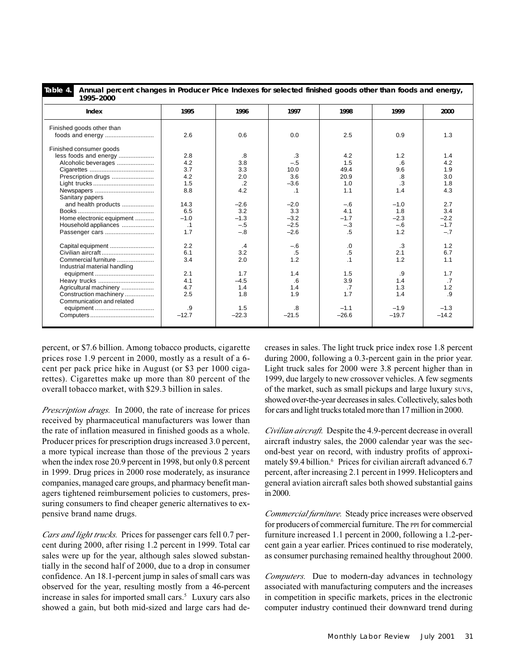| Table 4.<br>Annual percent changes in Producer Price Indexes for selected finished goods other than foods and energy,<br>1995-2000                                                                             |                                                                                     |                                                                                           |                                                                                                  |                                                                                   |                                                                                       |                                                                                   |  |  |  |
|----------------------------------------------------------------------------------------------------------------------------------------------------------------------------------------------------------------|-------------------------------------------------------------------------------------|-------------------------------------------------------------------------------------------|--------------------------------------------------------------------------------------------------|-----------------------------------------------------------------------------------|---------------------------------------------------------------------------------------|-----------------------------------------------------------------------------------|--|--|--|
| Index                                                                                                                                                                                                          | 1995                                                                                | 1996                                                                                      | 1997                                                                                             | 1998                                                                              | 1999                                                                                  | 2000                                                                              |  |  |  |
| Finished goods other than                                                                                                                                                                                      | 2.6                                                                                 | 0.6                                                                                       | 0.0                                                                                              | 2.5                                                                               | 0.9                                                                                   | 1.3                                                                               |  |  |  |
| Finished consumer goods<br>less foods and energy<br>Alcoholic beverages<br>Prescription drugs<br>Sanitary papers<br>and health products<br>Home electronic equipment<br>Household appliances<br>Passenger cars | 2.8<br>4.2<br>3.7<br>4.2<br>1.5<br>8.8<br>14.3<br>6.5<br>$-1.0$<br>$\cdot$ 1<br>1.7 | .8<br>3.8<br>3.3<br>2.0<br>$\cdot$ .2<br>4.2<br>$-2.6$<br>3.2<br>$-1.3$<br>$-.5$<br>$-.8$ | .3<br>$-.5$<br>10.0<br>3.6<br>$-3.6$<br>$\cdot$ 1<br>$-2.0$<br>3.3<br>$-3.2$<br>$-2.5$<br>$-2.6$ | 4.2<br>1.5<br>49.4<br>20.9<br>1.0<br>1.1<br>$-.6$<br>4.1<br>$-1.7$<br>$-.3$<br>.5 | 1.2<br>.6<br>9.6<br>.8<br>$\cdot$ 3<br>1.4<br>$-1.0$<br>1.8<br>$-2.3$<br>$-.6$<br>1.2 | 1.4<br>4.2<br>1.9<br>3.0<br>1.8<br>4.3<br>2.7<br>3.4<br>$-2.2$<br>$-1.7$<br>$-.7$ |  |  |  |
| Capital equipment<br>Commercial furniture<br>Industrial material handling<br>Agricultural machinery<br>Construction machinery<br>Communication and related                                                     | 2.2<br>6.1<br>3.4<br>2.1<br>4.1<br>4.7<br>2.5<br>.9<br>$-12.7$                      | .4<br>3.2<br>2.0<br>1.7<br>$-4.5$<br>1.4<br>1.8<br>1.5<br>$-22.3$                         | $-6$<br>.5<br>1.2<br>1.4<br>.6<br>1.4<br>1.9<br>.8<br>$-21.5$                                    | .0<br>$.5\,$<br>$\cdot$ 1<br>1.5<br>3.9<br>.7<br>1.7<br>$-1.1$<br>$-26.6$         | .3<br>2.1<br>1.2<br>.9<br>1.4<br>1.3<br>1.4<br>$-1.9$<br>$-19.7$                      | 1.2<br>6.7<br>1.1<br>1.7<br>.7<br>1.2<br>.9<br>$-1.3$<br>$-14.2$                  |  |  |  |

percent, or \$7.6 billion. Among tobacco products, cigarette prices rose 1.9 percent in 2000, mostly as a result of a 6 cent per pack price hike in August (or \$3 per 1000 cigarettes). Cigarettes make up more than 80 percent of the overall tobacco market, with \$29.3 billion in sales.

*Prescription drugs.* In 2000, the rate of increase for prices received by pharmaceutical manufacturers was lower than the rate of inflation measured in finished goods as a whole. Producer prices for prescription drugs increased 3.0 percent, a more typical increase than those of the previous 2 years when the index rose 20.9 percent in 1998, but only 0.8 percent in 1999. Drug prices in 2000 rose moderately, as insurance companies, managed care groups, and pharmacy benefit managers tightened reimbursement policies to customers, pressuring consumers to find cheaper generic alternatives to expensive brand name drugs.

*Cars and light trucks.* Prices for passenger cars fell 0.7 percent during 2000, after rising 1.2 percent in 1999. Total car sales were up for the year, although sales slowed substantially in the second half of 2000, due to a drop in consumer confidence. An 18.1-percent jump in sales of small cars was observed for the year, resulting mostly from a 46-percent increase in sales for imported small cars.<sup>5</sup> Luxury cars also showed a gain, but both mid-sized and large cars had decreases in sales. The light truck price index rose 1.8 percent during 2000, following a 0.3-percent gain in the prior year. Light truck sales for 2000 were 3.8 percent higher than in 1999, due largely to new crossover vehicles. A few segments of the market, such as small pickups and large luxury SUVs, showed over-the-year decreases in sales. Collectively, sales both for cars and light trucks totaled more than 17 million in 2000.

*Civilian aircraft.* Despite the 4.9-percent decrease in overall aircraft industry sales, the 2000 calendar year was the second-best year on record, with industry profits of approximately \$9.4 billion.<sup>6</sup> Prices for civilian aircraft advanced 6.7 percent, after increasing 2.1 percent in 1999. Helicopters and general aviation aircraft sales both showed substantial gains in 2000.

*Commercial furniture.* Steady price increases were observed for producers of commercial furniture. The PPI for commercial furniture increased 1.1 percent in 2000, following a 1.2-percent gain a year earlier. Prices continued to rise moderately, as consumer purchasing remained healthy throughout 2000.

*Computers.* Due to modern-day advances in technology associated with manufacturing computers and the increases in competition in specific markets, prices in the electronic computer industry continued their downward trend during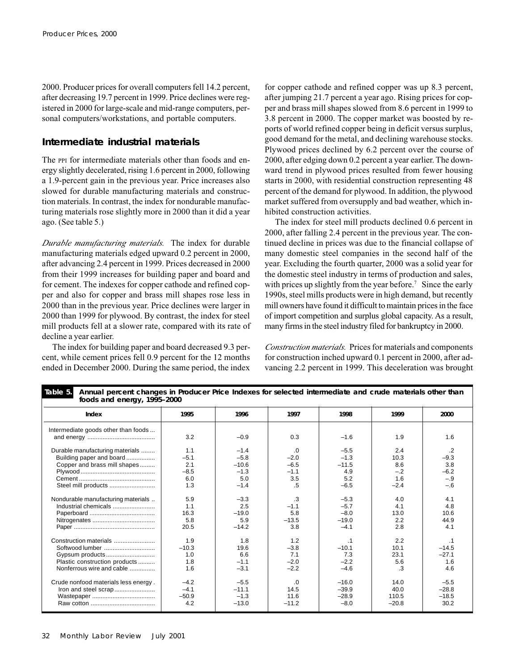2000. Producer prices for overall computers fell 14.2 percent, after decreasing 19.7 percent in 1999. Price declines were registered in 2000 for large-scale and mid-range computers, personal computers/workstations, and portable computers.

## **Intermediate industrial materials**

The PPI for intermediate materials other than foods and energy slightly decelerated, rising 1.6 percent in 2000, following a 1.9-percent gain in the previous year. Price increases also slowed for durable manufacturing materials and construction materials. In contrast, the index for nondurable manufacturing materials rose slightly more in 2000 than it did a year ago. (See table 5.)

*Durable manufacturing materials.* The index for durable manufacturing materials edged upward 0.2 percent in 2000, after advancing 2.4 percent in 1999. Prices decreased in 2000 from their 1999 increases for building paper and board and for cement. The indexes for copper cathode and refined copper and also for copper and brass mill shapes rose less in 2000 than in the previous year. Price declines were larger in 2000 than 1999 for plywood. By contrast, the index for steel mill products fell at a slower rate, compared with its rate of decline a year earlier.

The index for building paper and board decreased 9.3 percent, while cement prices fell 0.9 percent for the 12 months ended in December 2000. During the same period, the index for copper cathode and refined copper was up 8.3 percent, after jumping 21.7 percent a year ago. Rising prices for copper and brass mill shapes slowed from 8.6 percent in 1999 to 3.8 percent in 2000. The copper market was boosted by reports of world refined copper being in deficit versus surplus, good demand for the metal, and declining warehouse stocks. Plywood prices declined by 6.2 percent over the course of 2000, after edging down 0.2 percent a year earlier. The downward trend in plywood prices resulted from fewer housing starts in 2000, with residential construction representing 48 percent of the demand for plywood. In addition, the plywood market suffered from oversupply and bad weather, which inhibited construction activities.

The index for steel mill products declined 0.6 percent in 2000, after falling 2.4 percent in the previous year. The continued decline in prices was due to the financial collapse of many domestic steel companies in the second half of the year. Excluding the fourth quarter, 2000 was a solid year for the domestic steel industry in terms of production and sales, with prices up slightly from the year before.<sup>7</sup> Since the early 1990s, steel mills products were in high demand, but recently mill owners have found it difficult to maintain prices in the face of import competition and surplus global capacity. As a result, many firms in the steel industry filed for bankruptcy in 2000.

*Construction materials.* Prices for materials and components for construction inched upward 0.1 percent in 2000, after advancing 2.2 percent in 1999. This deceleration was brought

| Table 5.<br>Annual percent changes in Producer Price Indexes for selected intermediate and crude materials other than<br>foods and energy, 1995-2000                                       |                                                                                   |                                                                                                      |                                                                                        |                                                                                                        |                                                                                  |                                                                                              |  |  |  |
|--------------------------------------------------------------------------------------------------------------------------------------------------------------------------------------------|-----------------------------------------------------------------------------------|------------------------------------------------------------------------------------------------------|----------------------------------------------------------------------------------------|--------------------------------------------------------------------------------------------------------|----------------------------------------------------------------------------------|----------------------------------------------------------------------------------------------|--|--|--|
| Index                                                                                                                                                                                      | 1995                                                                              | 1996                                                                                                 | 1997                                                                                   | 1998                                                                                                   | 1999                                                                             | 2000                                                                                         |  |  |  |
| Intermediate goods other than foods                                                                                                                                                        | 3.2                                                                               | $-0.9$                                                                                               | 0.3                                                                                    | $-1.6$                                                                                                 | 1.9                                                                              | 1.6                                                                                          |  |  |  |
| Durable manufacturing materials<br>Building paper and board<br>Copper and brass mill shapes<br>Steel mill products<br>Nondurable manufacturing materials<br>Industrial chemicals           | 1.1<br>$-5.1$<br>2.1<br>$-8.5$<br>6.0<br>1.3<br>5.9<br>1.1<br>16.3<br>5.8<br>20.5 | $-1.4$<br>$-5.8$<br>$-10.6$<br>$-1.3$<br>5.0<br>$-1.4$<br>$-3.3$<br>2.5<br>$-19.0$<br>5.9<br>$-14.2$ | .0<br>$-2.0$<br>$-6.5$<br>$-1.1$<br>3.5<br>.5<br>.3<br>$-1.1$<br>5.8<br>$-13.5$<br>3.8 | $-5.5$<br>$-1.3$<br>$-11.5$<br>4.9<br>5.2<br>$-6.5$<br>$-5.3$<br>$-5.7$<br>$-8.0$<br>$-19.0$<br>$-4.1$ | 2.4<br>10.3<br>8.6<br>$-.2$<br>1.6<br>$-2.4$<br>4.0<br>4.1<br>13.0<br>2.2<br>2.8 | $\cdot$ .2<br>$-9.3$<br>3.8<br>$-6.2$<br>$-.9$<br>$-.6$<br>4.1<br>4.8<br>10.6<br>44.9<br>4.1 |  |  |  |
| Construction materials<br>Softwood lumber<br>Gypsum products<br>Plastic construction products<br>Nonferrous wire and cable<br>Crude nonfood materials less energy.<br>Iron and steel scrap | 1.9<br>$-10.3$<br>1.0<br>1.8<br>1.6<br>$-4.2$<br>$-4.1$<br>$-50.9$<br>4.2         | 1.8<br>19.6<br>6.6<br>$-1.1$<br>$-3.1$<br>$-5.5$<br>$-11.1$<br>$-1.3$<br>$-13.0$                     | 1.2<br>$-3.8$<br>7.1<br>$-2.0$<br>$-2.2$<br>.0<br>14.5<br>11.6<br>$-11.2$              | $\cdot$ 1<br>$-10.1$<br>7.3<br>$-2.2$<br>$-4.6$<br>$-16.0$<br>$-39.9$<br>$-28.9$<br>$-8.0$             | 2.2<br>10.1<br>23.1<br>5.6<br>.3<br>14.0<br>40.0<br>110.5<br>$-20.8$             | $\cdot$ 1<br>$-14.5$<br>$-27.1$<br>1.6<br>4.6<br>$-5.5$<br>$-28.8$<br>$-18.5$<br>30.2        |  |  |  |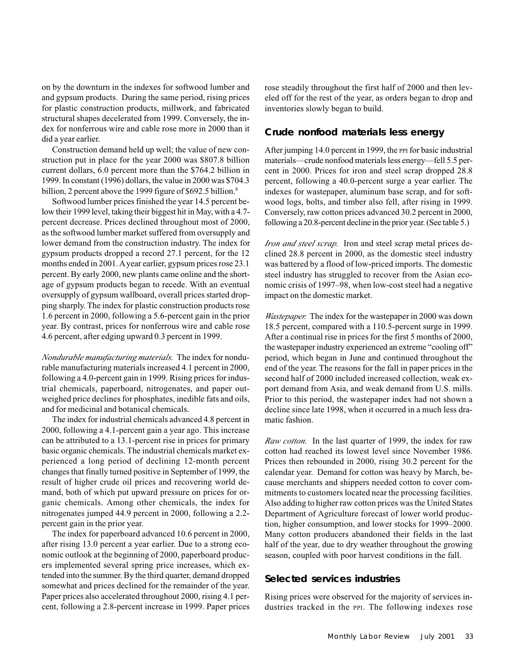on by the downturn in the indexes for softwood lumber and and gypsum products. During the same period, rising prices for plastic construction products, millwork, and fabricated structural shapes decelerated from 1999. Conversely, the index for nonferrous wire and cable rose more in 2000 than it did a year earlier.

Construction demand held up well; the value of new construction put in place for the year 2000 was \$807.8 billion current dollars, 6.0 percent more than the \$764.2 billion in 1999. In constant (1996) dollars, the value in 2000 was \$704.3 billion, 2 percent above the 1999 figure of \$692.5 billion.<sup>8</sup>

Softwood lumber prices finished the year 14.5 percent below their 1999 level, taking their biggest hit in May, with a 4.7 percent decrease. Prices declined throughout most of 2000, as the softwood lumber market suffered from oversupply and lower demand from the construction industry. The index for gypsum products dropped a record 27.1 percent, for the 12 months ended in 2001. A year earlier, gypsum prices rose 23.1 percent. By early 2000, new plants came online and the shortage of gypsum products began to recede. With an eventual oversupply of gypsum wallboard, overall prices started dropping sharply. The index for plastic construction products rose 1.6 percent in 2000, following a 5.6-percent gain in the prior year. By contrast, prices for nonferrous wire and cable rose 4.6 percent, after edging upward 0.3 percent in 1999.

*Nondurable manufacturing materials.* The index for nondurable manufacturing materials increased 4.1 percent in 2000, following a 4.0-percent gain in 1999. Rising prices for industrial chemicals, paperboard, nitrogenates, and paper outweighed price declines for phosphates, inedible fats and oils, and for medicinal and botanical chemicals.

The index for industrial chemicals advanced 4.8 percent in 2000, following a 4.1-percent gain a year ago. This increase can be attributed to a 13.1-percent rise in prices for primary basic organic chemicals. The industrial chemicals market experienced a long period of declining 12-month percent changes that finally turned positive in September of 1999, the result of higher crude oil prices and recovering world demand, both of which put upward pressure on prices for organic chemicals. Among other chemicals, the index for nitrogenates jumped 44.9 percent in 2000, following a 2.2 percent gain in the prior year.

The index for paperboard advanced 10.6 percent in 2000, after rising 13.0 percent a year earlier. Due to a strong economic outlook at the beginning of 2000, paperboard producers implemented several spring price increases, which extended into the summer. By the third quarter, demand dropped somewhat and prices declined for the remainder of the year. Paper prices also accelerated throughout 2000, rising 4.1 percent, following a 2.8-percent increase in 1999. Paper prices rose steadily throughout the first half of 2000 and then leveled off for the rest of the year, as orders began to drop and inventories slowly began to build.

### **Crude nonfood materials less energy**

After jumping 14.0 percent in 1999, the PPI for basic industrial materials—crude nonfood materials less energy—fell 5.5 percent in 2000. Prices for iron and steel scrap dropped 28.8 percent, following a 40.0-percent surge a year earlier. The indexes for wastepaper, aluminum base scrap, and for softwood logs, bolts, and timber also fell, after rising in 1999. Conversely, raw cotton prices advanced 30.2 percent in 2000, following a 20.8-percent decline in the prior year. (See table 5.)

*Iron and steel scrap.* Iron and steel scrap metal prices declined 28.8 percent in 2000, as the domestic steel industry was battered by a flood of low-priced imports. The domestic steel industry has struggled to recover from the Asian economic crisis of 1997–98, when low-cost steel had a negative impact on the domestic market.

*Wastepaper.* The index for the wastepaper in 2000 was down 18.5 percent, compared with a 110.5-percent surge in 1999. After a continual rise in prices for the first 5 months of 2000, the wastepaper industry experienced an extreme "cooling off" period, which began in June and continued throughout the end of the year. The reasons for the fall in paper prices in the second half of 2000 included increased collection, weak export demand from Asia, and weak demand from U.S. mills. Prior to this period, the wastepaper index had not shown a decline since late 1998, when it occurred in a much less dramatic fashion.

*Raw cotton.* In the last quarter of 1999, the index for raw cotton had reached its lowest level since November 1986. Prices then rebounded in 2000, rising 30.2 percent for the calendar year. Demand for cotton was heavy by March, because merchants and shippers needed cotton to cover commitments to customers located near the processing facilities. Also adding to higher raw cotton prices was the United States Department of Agriculture forecast of lower world production, higher consumption, and lower stocks for 1999–2000. Many cotton producers abandoned their fields in the last half of the year, due to dry weather throughout the growing season, coupled with poor harvest conditions in the fall.

#### **Selected services industries**

Rising prices were observed for the majority of services industries tracked in the PPI. The following indexes rose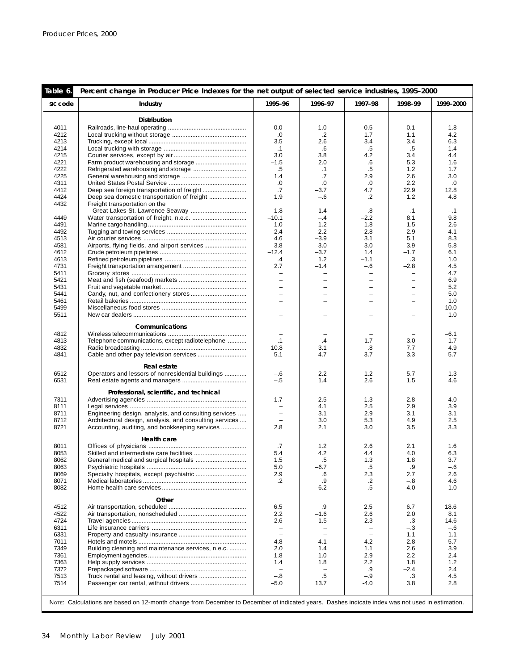| Table 6. | Percent change in Producer Price Indexes for the net output of selected service industries, 1995-2000                                           |                          |                          |                          |                          |           |
|----------|-------------------------------------------------------------------------------------------------------------------------------------------------|--------------------------|--------------------------|--------------------------|--------------------------|-----------|
| sic code | Industry                                                                                                                                        | 1995-96                  | 1996-97                  | 1997-98                  | 1998-99                  | 1999-2000 |
|          | <b>Distribution</b>                                                                                                                             |                          |                          |                          |                          |           |
| 4011     |                                                                                                                                                 | 0.0                      | 1.0                      | 0.5                      | 0.1                      | 1.8       |
| 4212     |                                                                                                                                                 |                          | $\cdot$                  | 1.7                      | 1.1                      | 4.2       |
|          |                                                                                                                                                 | .0                       |                          |                          |                          |           |
| 4213     |                                                                                                                                                 | 3.5                      | 2.6                      | 3.4                      | 3.4                      | 6.3       |
| 4214     |                                                                                                                                                 | $\cdot$ 1                | .6                       | .5                       | .5                       | 1.4       |
| 4215     |                                                                                                                                                 | 3.0                      | 3.8                      | 4.2                      | 3.4                      | 4.4       |
| 4221     |                                                                                                                                                 | $-1.5$                   | 2.0                      | .6                       | 5.3                      | 1.6       |
| 4222     |                                                                                                                                                 | .5                       | $\cdot$ 1                | .5                       | 1.2                      | 1.7       |
| 4225     |                                                                                                                                                 | 1.4                      | .7                       | 2.9                      | 2.6                      | 3.0       |
| 4311     |                                                                                                                                                 | $\cdot 0$                | $\cdot$                  | .0                       | 2.2                      | .0        |
| 4412     |                                                                                                                                                 | .7                       | -3.7                     | 4.7                      | 22.9                     | 12.8      |
| 4424     | Deep sea domestic transportation of freight                                                                                                     | 1.9                      | $-.6$                    | .2                       | 1.2                      | 4.8       |
| 4432     | Freight transportation on the                                                                                                                   |                          |                          |                          |                          |           |
|          |                                                                                                                                                 | 1.8                      | 1.4                      | .8                       | $-.1$                    | $-.1$     |
| 4449     |                                                                                                                                                 | $-10.1$                  | $-.4$                    | $-2.2$                   | 8.1                      | 9.8       |
| 4491     |                                                                                                                                                 | 1.0                      | 1.2                      | 1.8                      | 1.5                      | 2.6       |
| 4492     |                                                                                                                                                 | 2.4                      | 2.2                      | 2.8                      | 2.9                      | 4.1       |
| 4513     |                                                                                                                                                 | 4.6                      | $-3.9$                   | 3.1                      | 5.1                      | 8.3       |
| 4581     |                                                                                                                                                 | 3.8                      | 3.0                      | 3.0                      | 3.9                      | 5.8       |
| 4612     |                                                                                                                                                 | $-12.4$                  | $-3.7$                   | 1.4                      | $-1.7$                   | 6.1       |
| 4613     |                                                                                                                                                 | .4                       | 1.2                      | $-1.1$                   | .3                       | 1.0       |
| 4731     |                                                                                                                                                 | 2.7                      | $-1.4$                   | $-.6$                    | $-2.8$                   | 4.5       |
| 5411     |                                                                                                                                                 | $\qquad \qquad -$        | $\overline{\phantom{0}}$ | $\qquad \qquad -$        | $\overline{\phantom{0}}$ | 4.7       |
| 5421     |                                                                                                                                                 | $\overline{\phantom{0}}$ | $\overline{\phantom{0}}$ | $\qquad \qquad -$        |                          | 6.9       |
| 5431     |                                                                                                                                                 | $\overline{\phantom{0}}$ | $\overline{\phantom{0}}$ | $\overline{\phantom{0}}$ |                          | 5.2       |
| 5441     |                                                                                                                                                 | $\overline{\phantom{0}}$ |                          | $\overline{\phantom{0}}$ |                          | 5.0       |
| 5461     |                                                                                                                                                 |                          | $\overline{\phantom{0}}$ | $\overline{\phantom{0}}$ |                          | 1.0       |
| 5499     |                                                                                                                                                 | $\equiv$                 | $\overline{\phantom{0}}$ | $\equiv$                 | $\equiv$                 | 10.0      |
| 5511     |                                                                                                                                                 | $\overline{\phantom{0}}$ | $\overline{\phantom{0}}$ | $\overline{\phantom{0}}$ | L.                       | 1.0       |
|          | Communications                                                                                                                                  |                          |                          |                          |                          |           |
| 4812     |                                                                                                                                                 | $\overline{\phantom{0}}$ | $\overline{\phantom{0}}$ |                          |                          | $-6.1$    |
| 4813     | Telephone communications, except radiotelephone                                                                                                 | $-.1$                    | $-.4$                    | $-1.7$                   | $-3.0$                   | $-1.7$    |
| 4832     |                                                                                                                                                 | 10.8                     | 3.1                      | .8                       | 7.7                      | 4.9       |
| 4841     |                                                                                                                                                 | 5.1                      | 4.7                      | 3.7                      | 3.3                      | 5.7       |
|          |                                                                                                                                                 |                          |                          |                          |                          |           |
|          | Real estate                                                                                                                                     |                          |                          |                          |                          |           |
| 6512     | Operators and lessors of nonresidential buildings                                                                                               | $-6$                     | 2.2                      | 1.2                      | 5.7                      | 1.3       |
| 6531     |                                                                                                                                                 | $-.5$                    | 1.4                      | 2.6                      | 1.5                      | 4.6       |
|          | Professional, scientific, and technical                                                                                                         |                          |                          |                          |                          |           |
| 7311     |                                                                                                                                                 | 1.7                      | 2.5                      | 1.3                      | 2.8                      | 4.0       |
| 8111     |                                                                                                                                                 | $\equiv$                 | 4.1                      | 2.5                      | 2.9                      | 3.9       |
| 8711     | Engineering design, analysis, and consulting services                                                                                           | $\overline{\phantom{0}}$ | 3.1                      | 2.9                      | 3.1                      | 3.1       |
| 8712     | Architectural design, analysis, and consulting services                                                                                         |                          | 3.0                      | 5.3                      | 4.9                      | 2.5       |
| 8721     | Accounting, auditing, and bookkeeping services                                                                                                  | 2.8                      | 2.1                      | 3.0                      | 3.5                      | 3.3       |
|          |                                                                                                                                                 |                          |                          |                          |                          |           |
|          | <b>Health care</b>                                                                                                                              |                          |                          |                          |                          |           |
| 8011     |                                                                                                                                                 | .7                       | 1.2                      | 2.6                      | 2.1                      | 1.6       |
| 8053     |                                                                                                                                                 | 5.4                      | 4.2                      | 4.4                      | 4.0                      | 6.3       |
| 8062     |                                                                                                                                                 | 1.5                      | .5                       | 1.3                      | 1.8                      | 3.7       |
| 8063     |                                                                                                                                                 | 5.0                      | $-6.7$                   | .5                       | .9                       | $-.6$     |
| 8069     | Specialty hospitals, except psychiatric                                                                                                         | 2.9                      | $6^{\circ}$              | 2.3                      | 2.7                      | 2.6       |
| 8071     |                                                                                                                                                 | .2                       | .9                       | $\cdot$                  | $-.8$                    | 4.6       |
| 8082     |                                                                                                                                                 |                          | 6.2                      | .5                       | 4.0                      | 1.0       |
|          | Other                                                                                                                                           |                          |                          |                          |                          |           |
| 4512     |                                                                                                                                                 | 6.5                      | .9                       | 2.5                      | 6.7                      | 18.6      |
| 4522     |                                                                                                                                                 | 2.2                      | -1.6                     | 2.6                      | 2.0                      | 8.1       |
| 4724     |                                                                                                                                                 | 2.6                      | 1.5                      | $-2.3$                   | .3                       | 14.6      |
| 6311     |                                                                                                                                                 | $\overline{\phantom{m}}$ | $\overline{\phantom{m}}$ | $\overline{\phantom{0}}$ | $-.3$                    | $-.6$     |
| 6331     |                                                                                                                                                 | $\equiv$                 | $\overline{\phantom{0}}$ | $\overline{\phantom{0}}$ | 1.1                      | 1.1       |
| 7011     |                                                                                                                                                 | 4.8                      | 4.1                      | 4.2                      | 2.8                      | 5.7       |
| 7349     | Building cleaning and maintenance services, n.e.c.                                                                                              | 2.0                      | 1.4                      | 1.1                      | 2.6                      | 3.9       |
| 7361     |                                                                                                                                                 | 1.8                      | 1.0                      | 2.9                      | 2.2                      | 2.4       |
| 7363     |                                                                                                                                                 | 1.4                      | 1.8                      | 2.2                      | 1.8                      | 1.2       |
| 7372     |                                                                                                                                                 | $\overline{\phantom{m}}$ | $\overline{\phantom{0}}$ | .9                       | $-2.4$                   | 2.4       |
| 7513     |                                                                                                                                                 | $-.8$                    | $.5\,$                   | -.9                      | .3                       | 4.5       |
| 7514     |                                                                                                                                                 | $-5.0$                   | 13.7                     | $-4.0$                   | 3.8                      | 2.8       |
|          |                                                                                                                                                 |                          |                          |                          |                          |           |
|          |                                                                                                                                                 |                          |                          |                          |                          |           |
|          | Note: Calculations are based on 12-month change from December to December of indicated years. Dashes indicate index was not used in estimation. |                          |                          |                          |                          |           |
|          |                                                                                                                                                 |                          |                          |                          |                          |           |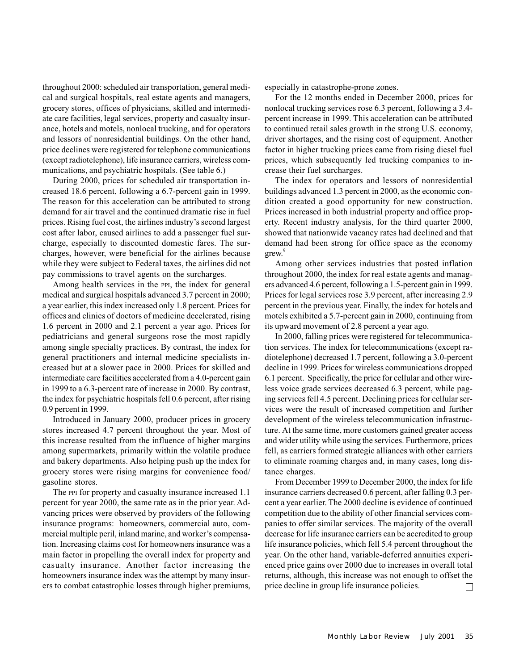throughout 2000: scheduled air transportation, general medical and surgical hospitals, real estate agents and managers, grocery stores, offices of physicians, skilled and intermediate care facilities, legal services, property and casualty insurance, hotels and motels, nonlocal trucking, and for operators and lessors of nonresidential buildings. On the other hand, price declines were registered for telephone communications (except radiotelephone), life insurance carriers, wireless communications, and psychiatric hospitals. (See table 6.)

During 2000, prices for scheduled air transportation increased 18.6 percent, following a 6.7-percent gain in 1999. The reason for this acceleration can be attributed to strong demand for air travel and the continued dramatic rise in fuel prices. Rising fuel cost, the airlines industry's second largest cost after labor, caused airlines to add a passenger fuel surcharge, especially to discounted domestic fares. The surcharges, however, were beneficial for the airlines because while they were subject to Federal taxes, the airlines did not pay commissions to travel agents on the surcharges.

Among health services in the PPI, the index for general medical and surgical hospitals advanced 3.7 percent in 2000; a year earlier, this index increased only 1.8 percent. Prices for offices and clinics of doctors of medicine decelerated, rising 1.6 percent in 2000 and 2.1 percent a year ago. Prices for pediatricians and general surgeons rose the most rapidly among single specialty practices. By contrast, the index for general practitioners and internal medicine specialists increased but at a slower pace in 2000. Prices for skilled and intermediate care facilities accelerated from a 4.0-percent gain in 1999 to a 6.3-percent rate of increase in 2000. By contrast, the index for psychiatric hospitals fell 0.6 percent, after rising 0.9 percent in 1999.

Introduced in January 2000, producer prices in grocery stores increased 4.7 percent throughout the year. Most of this increase resulted from the influence of higher margins among supermarkets, primarily within the volatile produce and bakery departments. Also helping push up the index for grocery stores were rising margins for convenience food/ gasoline stores.

The PPI for property and casualty insurance increased 1.1 percent for year 2000, the same rate as in the prior year. Advancing prices were observed by providers of the following insurance programs: homeowners, commercial auto, commercial multiple peril, inland marine, and worker's compensation. Increasing claims cost for homeowners insurance was a main factor in propelling the overall index for property and casualty insurance. Another factor increasing the homeowners insurance index was the attempt by many insurers to combat catastrophic losses through higher premiums, especially in catastrophe-prone zones.

For the 12 months ended in December 2000, prices for nonlocal trucking services rose 6.3 percent, following a 3.4 percent increase in 1999. This acceleration can be attributed to continued retail sales growth in the strong U.S. economy, driver shortages, and the rising cost of equipment. Another factor in higher trucking prices came from rising diesel fuel prices, which subsequently led trucking companies to increase their fuel surcharges.

The index for operators and lessors of nonresidential buildings advanced 1.3 percent in 2000, as the economic condition created a good opportunity for new construction. Prices increased in both industrial property and office property. Recent industry analysis, for the third quarter 2000, showed that nationwide vacancy rates had declined and that demand had been strong for office space as the economy grew.<sup>9</sup>

Among other services industries that posted inflation throughout 2000, the index for real estate agents and managers advanced 4.6 percent, following a 1.5-percent gain in 1999. Prices for legal services rose 3.9 percent, after increasing 2.9 percent in the previous year. Finally, the index for hotels and motels exhibited a 5.7-percent gain in 2000, continuing from its upward movement of 2.8 percent a year ago.

In 2000, falling prices were registered for telecommunication services. The index for telecommunications (except radiotelephone) decreased 1.7 percent, following a 3.0-percent decline in 1999. Prices for wireless communications dropped 6.1 percent. Specifically, the price for cellular and other wireless voice grade services decreased 6.3 percent, while paging services fell 4.5 percent. Declining prices for cellular services were the result of increased competition and further development of the wireless telecommunication infrastructure. At the same time, more customers gained greater access and wider utility while using the services. Furthermore, prices fell, as carriers formed strategic alliances with other carriers to eliminate roaming charges and, in many cases, long distance charges.

From December 1999 to December 2000, the index for life insurance carriers decreased 0.6 percent, after falling 0.3 percent a year earlier. The 2000 decline is evidence of continued competition due to the ability of other financial services companies to offer similar services. The majority of the overall decrease for life insurance carriers can be accredited to group life insurance policies, which fell 5.4 percent throughout the year. On the other hand, variable-deferred annuities experienced price gains over 2000 due to increases in overall total returns, although, this increase was not enough to offset the price decline in group life insurance policies. $\Box$